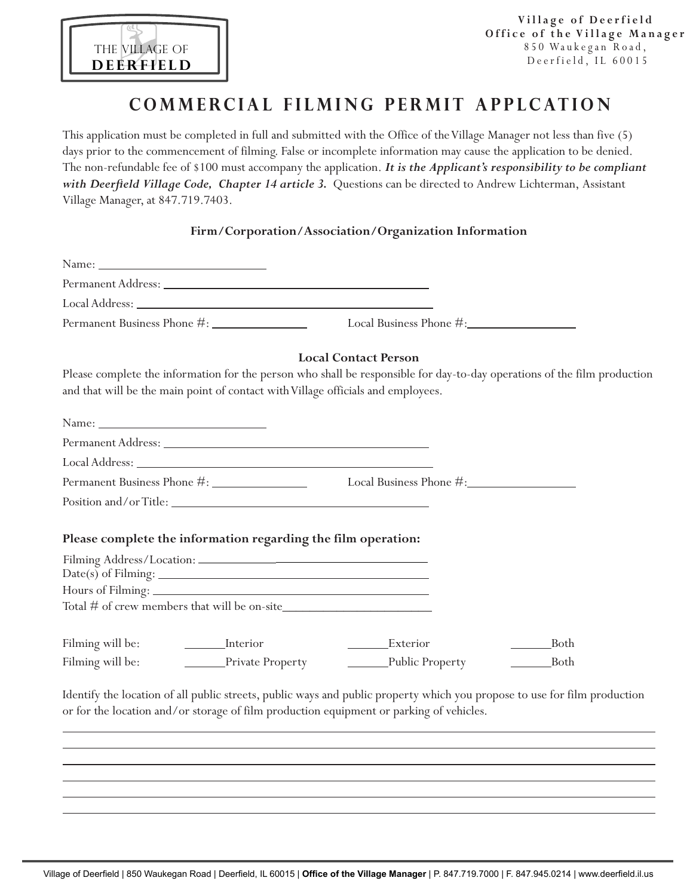

## **COMMERCIAL FILMING PERMIT APPLCATION**

This application must be completed in full and submitted with the Office of the Village Manager not less than five (5) days prior to the commencement of filming. False or incomplete information may cause the application to be denied. The non-refundable fee of \$100 must accompany the application. *It is the Applicant's responsibility to be compliant*  with Deerfield Village Code, Chapter 14 article 3. Questions can be directed to Andrew Lichterman, Assistant Village Manager, at 847.719.7403.

### **Firm/Corporation/Association/Organization Information**

|                  | and that will be the main point of contact with Village officials and employees. | <b>Local Contact Person</b><br>Please complete the information for the person who shall be responsible for day-to-day operations of the film production                                                              |             |
|------------------|----------------------------------------------------------------------------------|----------------------------------------------------------------------------------------------------------------------------------------------------------------------------------------------------------------------|-------------|
|                  |                                                                                  |                                                                                                                                                                                                                      |             |
|                  |                                                                                  |                                                                                                                                                                                                                      |             |
|                  |                                                                                  |                                                                                                                                                                                                                      |             |
|                  |                                                                                  |                                                                                                                                                                                                                      |             |
|                  |                                                                                  |                                                                                                                                                                                                                      |             |
|                  | Please complete the information regarding the film operation:                    |                                                                                                                                                                                                                      |             |
|                  |                                                                                  |                                                                                                                                                                                                                      |             |
| Filming will be: | <u>Interior</u>                                                                  | ________Exterior                                                                                                                                                                                                     | ___Both     |
| Filming will be: | Private Property                                                                 | Public Property                                                                                                                                                                                                      | <b>Both</b> |
|                  |                                                                                  | Identify the location of all public streets, public ways and public property which you propose to use for film production<br>or for the location and/or storage of film production equipment or parking of vehicles. |             |
|                  |                                                                                  |                                                                                                                                                                                                                      |             |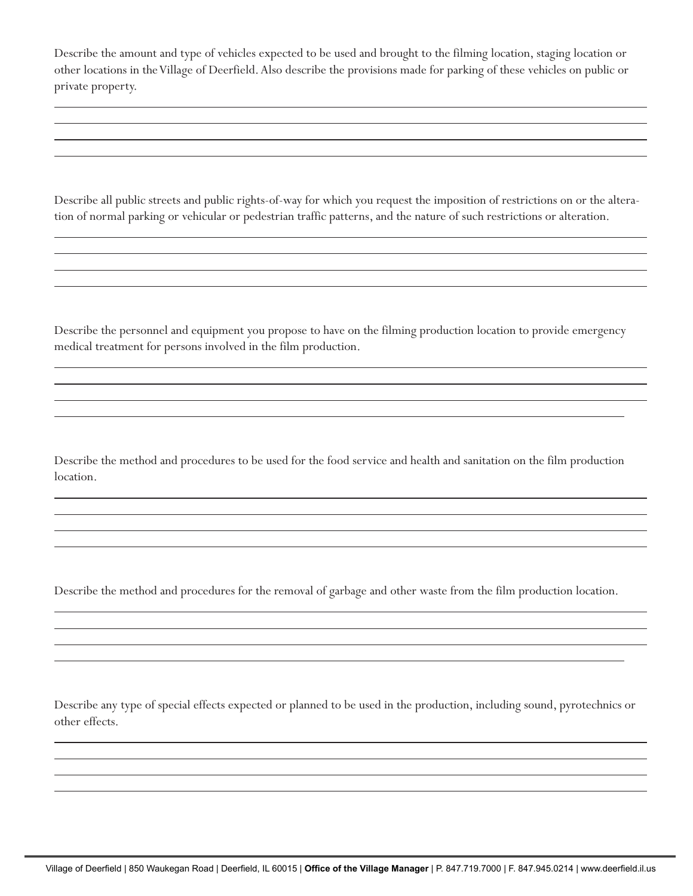Describe the amount and type of vehicles expected to be used and brought to the filming location, staging location or other locations in the Village of Deerfield. Also describe the provisions made for parking of these vehicles on public or private property.

 $\overline{a}$ 

 $\overline{a}$ 

 $\overline{a}$ 

 $\overline{a}$ 

 $\overline{a}$ 

 $\overline{a}$ 

 $\overline{a}$ 

Describe all public streets and public rights-of-way for which you request the imposition of restrictions on or the alteration of normal parking or vehicular or pedestrian traffic patterns, and the nature of such restrictions or alteration.

Describe the personnel and equipment you propose to have on the filming production location to provide emergency medical treatment for persons involved in the film production.

Describe the method and procedures to be used for the food service and health and sanitation on the film production location.

Describe the method and procedures for the removal of garbage and other waste from the film production location.

Describe any type of special effects expected or planned to be used in the production, including sound, pyrotechnics or other effects.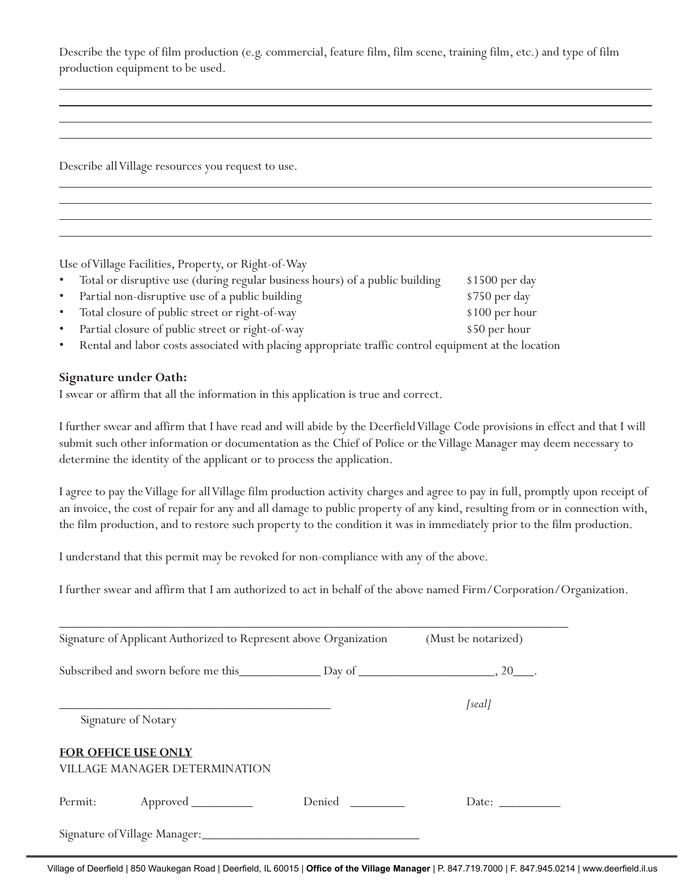Describe the type of film production (e.g. commercial, feature film, film scene, training film, etc.) and type of film production equipment to be used.

Describe all Village resources you request to use.

Use of Village Facilities, Property, or Right-of-Way

| $\bullet$ | Total or disruptive use (during regular business hours) of a public building | $$1500$ per day |
|-----------|------------------------------------------------------------------------------|-----------------|
|           | • Partial non-disruptive use of a public building                            | \$750 per day   |
|           | • Total closure of public street or right-of-way                             | $$100$ per hour |
|           | • Partial closure of public street or right-of-way                           | \$50 per hour   |
|           |                                                                              |                 |

Rental and labor costs associated with placing appropriate traffic control equipment at the location

### **Signature under Oath:**

 $\overline{a}$ 

I swear or affirm that all the information in this application is true and correct.

I further swear and affirm that I have read and will abide by the Deerfield Village Code provisions in effect and that I will submit such other information or documentation as the Chief of Police or the Village Manager may deem necessary to determine the identity of the applicant or to process the application.

I agree to pay the Village for all Village film production activity charges and agree to pay in full, promptly upon receipt of an invoice, the cost of repair for any and all damage to public property of any kind, resulting from or in connection with, the film production, and to restore such property to the condition it was in immediately prior to the film production.

I understand that this permit may be revoked for non-compliance with any of the above.

I further swear and affirm that I am authorized to act in behalf of the above named Firm/Corporation/Organization.

| Signature of Applicant Authorized to Represent above Organization | (Must be notarized) |        |
|-------------------------------------------------------------------|---------------------|--------|
| Subscribed and sworn before me this Day of Day of New York 20     |                     |        |
|                                                                   |                     | [real] |
| Signature of Notary                                               |                     |        |
| <b>FOR OFFICE USE ONLY</b>                                        |                     |        |
| <b>VILLAGE MANAGER DETERMINATION</b>                              |                     |        |
|                                                                   | Denied              | Date:  |
| Signature of Village Manager:<br><u> </u>                         |                     |        |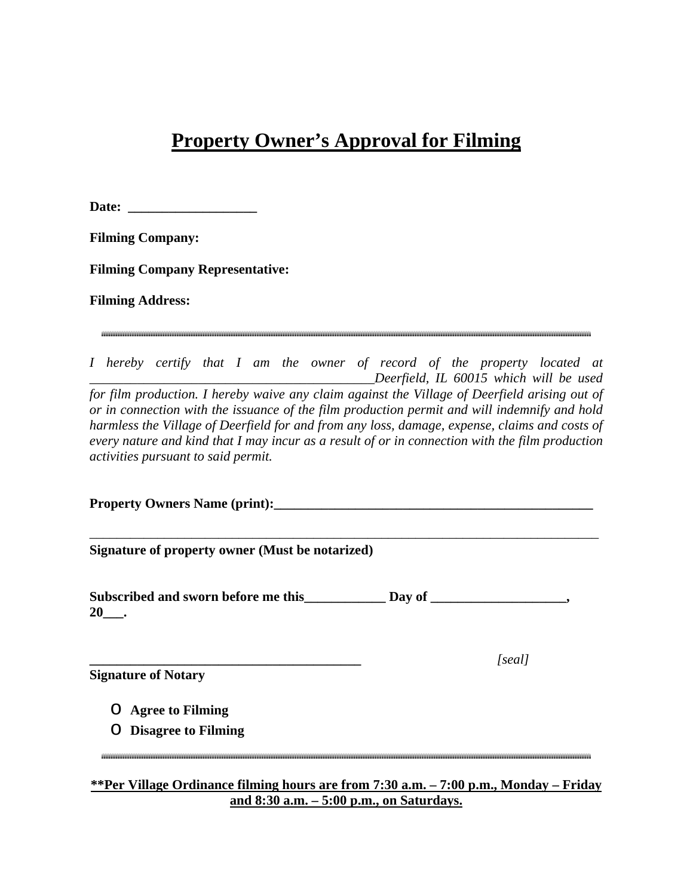# **Property Owner's Approval for Filming**

Date:

**Filming Company:** 

**Filming Company Representative:** 

**Filming Address:** 

*I hereby certify that I am the owner of record of the property located at \_\_\_\_\_\_\_\_\_\_\_\_\_\_\_\_\_\_\_\_\_\_\_\_\_\_\_\_\_\_\_\_\_\_\_\_\_\_\_\_\_\_Deerfield, IL 60015 which will be used for film production. I hereby waive any claim against the Village of Deerfield arising out of or in connection with the issuance of the film production permit and will indemnify and hold harmless the Village of Deerfield for and from any loss, damage, expense, claims and costs of every nature and kind that I may incur as a result of or in connection with the film production activities pursuant to said permit.* 

**Property Owners Name (print):**  $\blacksquare$ 

\_\_\_\_\_\_\_\_\_\_\_\_\_\_\_\_\_\_\_\_\_\_\_\_\_\_\_\_\_\_\_\_\_\_\_\_\_\_\_\_\_\_\_\_\_\_\_\_\_\_\_\_\_\_\_\_\_\_\_\_\_\_\_\_\_\_\_\_\_\_\_\_\_\_\_

**Signature of property owner (Must be notarized)** 

Subscribed and sworn before me this Day of \_\_\_\_\_\_\_\_\_\_\_\_\_\_\_, **20\_\_\_.** 

**Signature of Notary** 

**\_\_\_\_\_\_\_\_\_\_\_\_\_\_\_\_\_\_\_\_\_\_\_\_\_\_\_\_\_\_\_\_\_\_\_\_\_\_\_\_** *[seal]* 

- o **Agree to Filming**
- o **Disagree to Filming**

**\*\*Per Village Ordinance filming hours are from 7:30 a.m. – 7:00 p.m., Monday – Friday and 8:30 a.m. – 5:00 p.m., on Saturdays.**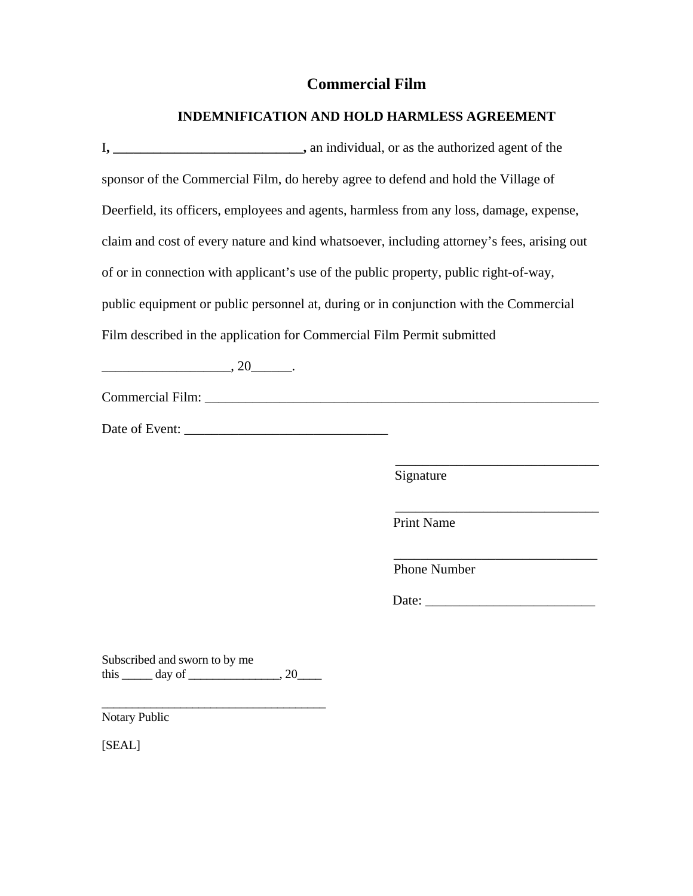### **Commercial Film**

### **INDEMNIFICATION AND HOLD HARMLESS AGREEMENT**

I**, \_\_\_\_\_\_\_\_\_\_\_\_\_\_\_\_\_\_\_\_\_\_\_\_\_\_\_\_,** an individual, or as the authorized agent of the sponsor of the Commercial Film, do hereby agree to defend and hold the Village of Deerfield, its officers, employees and agents, harmless from any loss, damage, expense, claim and cost of every nature and kind whatsoever, including attorney's fees, arising out of or in connection with applicant's use of the public property, public right-of-way, public equipment or public personnel at, during or in conjunction with the Commercial Film described in the application for Commercial Film Permit submitted \_\_\_\_\_\_\_\_\_\_\_\_\_\_\_\_\_\_\_, 20\_\_\_\_\_\_. Commercial Film: \_\_\_\_\_\_\_\_\_\_\_\_\_\_\_\_\_\_\_\_\_\_\_\_\_\_\_\_\_\_\_\_\_\_\_\_\_\_\_\_\_\_\_\_\_\_\_\_\_\_\_\_\_\_\_\_\_\_ Date of Event: \_\_\_\_\_\_\_\_\_\_\_\_\_\_\_\_\_\_\_\_\_\_\_\_\_\_\_\_\_\_  $\overline{\phantom{a}}$  , and the contract of the contract of the contract of the contract of the contract of the contract of the contract of the contract of the contract of the contract of the contract of the contract of the contrac Signature  $\overline{\phantom{a}}$  , and the contract of the contract of the contract of the contract of the contract of the contract of the contract of the contract of the contract of the contract of the contract of the contract of the contrac Print Name  $\frac{1}{\sqrt{2}}$  ,  $\frac{1}{\sqrt{2}}$  ,  $\frac{1}{\sqrt{2}}$  ,  $\frac{1}{\sqrt{2}}$  ,  $\frac{1}{\sqrt{2}}$  ,  $\frac{1}{\sqrt{2}}$  ,  $\frac{1}{\sqrt{2}}$  ,  $\frac{1}{\sqrt{2}}$  ,  $\frac{1}{\sqrt{2}}$  ,  $\frac{1}{\sqrt{2}}$  ,  $\frac{1}{\sqrt{2}}$  ,  $\frac{1}{\sqrt{2}}$  ,  $\frac{1}{\sqrt{2}}$  ,  $\frac{1}{\sqrt{2}}$  ,  $\frac{1}{\sqrt{2}}$  Phone Number Date: \_\_\_\_\_\_\_\_\_\_\_\_\_\_\_\_\_\_\_\_\_\_\_\_\_ Subscribed and sworn to by me this  $\rule{1em}{0.15mm}$  day of  $\rule{1em}{0.15mm}$ , 20 $\rule{1em}{0.15mm}$ , 20 $\rule{1em}{0.15mm}$ \_\_\_\_\_\_\_\_\_\_\_\_\_\_\_\_\_\_\_\_\_\_\_\_\_\_\_\_\_\_\_\_\_\_\_\_\_ Notary Public

[SEAL]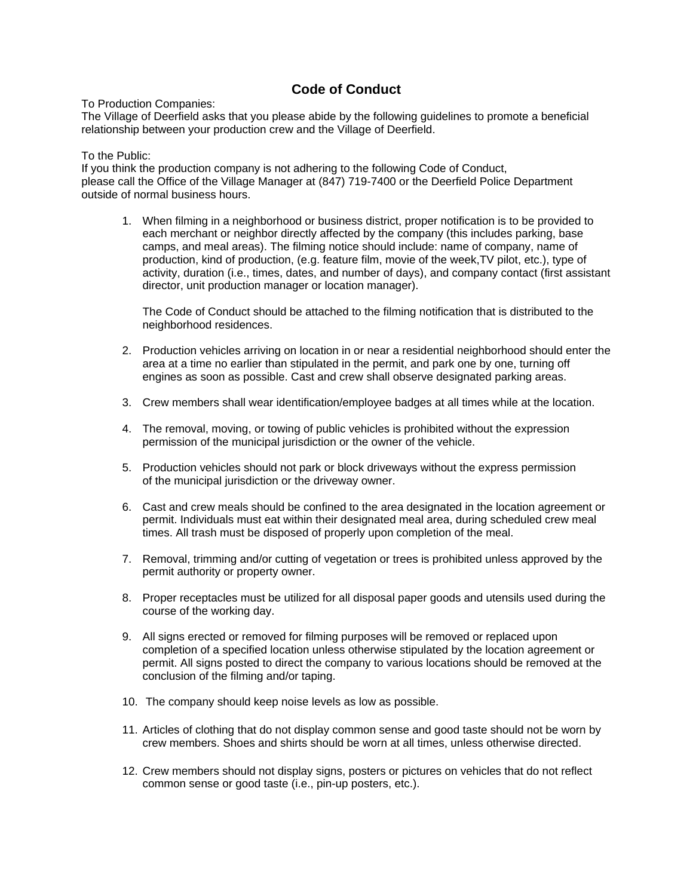### **Code of Conduct**

To Production Companies:

The Village of Deerfield asks that you please abide by the following guidelines to promote a beneficial relationship between your production crew and the Village of Deerfield.

#### To the Public:

If you think the production company is not adhering to the following Code of Conduct, please call the Office of the Village Manager at (847) 719-7400 or the Deerfield Police Department outside of normal business hours.

1. When filming in a neighborhood or business district, proper notification is to be provided to each merchant or neighbor directly affected by the company (this includes parking, base camps, and meal areas). The filming notice should include: name of company, name of production, kind of production, (e.g. feature film, movie of the week,TV pilot, etc.), type of activity, duration (i.e., times, dates, and number of days), and company contact (first assistant director, unit production manager or location manager).

The Code of Conduct should be attached to the filming notification that is distributed to the neighborhood residences.

- 2. Production vehicles arriving on location in or near a residential neighborhood should enter the area at a time no earlier than stipulated in the permit, and park one by one, turning off engines as soon as possible. Cast and crew shall observe designated parking areas.
- 3. Crew members shall wear identification/employee badges at all times while at the location.
- 4. The removal, moving, or towing of public vehicles is prohibited without the expression permission of the municipal jurisdiction or the owner of the vehicle.
- 5. Production vehicles should not park or block driveways without the express permission of the municipal jurisdiction or the driveway owner.
- 6. Cast and crew meals should be confined to the area designated in the location agreement or permit. Individuals must eat within their designated meal area, during scheduled crew meal times. All trash must be disposed of properly upon completion of the meal.
- 7. Removal, trimming and/or cutting of vegetation or trees is prohibited unless approved by the permit authority or property owner.
- 8. Proper receptacles must be utilized for all disposal paper goods and utensils used during the course of the working day.
- 9. All signs erected or removed for filming purposes will be removed or replaced upon completion of a specified location unless otherwise stipulated by the location agreement or permit. All signs posted to direct the company to various locations should be removed at the conclusion of the filming and/or taping.
- 10. The company should keep noise levels as low as possible.
- 11. Articles of clothing that do not display common sense and good taste should not be worn by crew members. Shoes and shirts should be worn at all times, unless otherwise directed.
- 12. Crew members should not display signs, posters or pictures on vehicles that do not reflect common sense or good taste (i.e., pin-up posters, etc.).